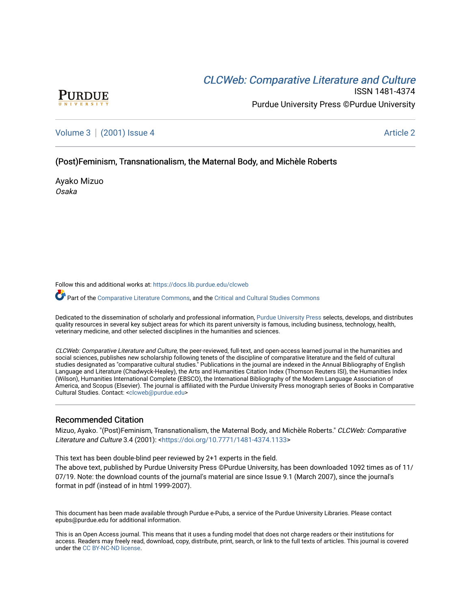# CLCW[eb: Comparative Liter](https://docs.lib.purdue.edu/clcweb)ature and Culture



ISSN 1481-4374 Purdue University Press ©Purdue University

[Volume 3](https://docs.lib.purdue.edu/clcweb/vol3) | [\(2001\) Issue 4](https://docs.lib.purdue.edu/clcweb/vol3/iss4) Article 2

## (Post)Feminism, Transnationalism, the Maternal Body, and Michèle Roberts

Ayako Mizuo Osaka

Follow this and additional works at: [https://docs.lib.purdue.edu/clcweb](https://docs.lib.purdue.edu/clcweb?utm_source=docs.lib.purdue.edu%2Fclcweb%2Fvol3%2Fiss4%2F2&utm_medium=PDF&utm_campaign=PDFCoverPages)

Part of the [Comparative Literature Commons,](http://network.bepress.com/hgg/discipline/454?utm_source=docs.lib.purdue.edu%2Fclcweb%2Fvol3%2Fiss4%2F2&utm_medium=PDF&utm_campaign=PDFCoverPages) and the [Critical and Cultural Studies Commons](http://network.bepress.com/hgg/discipline/328?utm_source=docs.lib.purdue.edu%2Fclcweb%2Fvol3%2Fiss4%2F2&utm_medium=PDF&utm_campaign=PDFCoverPages) 

Dedicated to the dissemination of scholarly and professional information, [Purdue University Press](http://www.thepress.purdue.edu/) selects, develops, and distributes quality resources in several key subject areas for which its parent university is famous, including business, technology, health, veterinary medicine, and other selected disciplines in the humanities and sciences.

CLCWeb: Comparative Literature and Culture, the peer-reviewed, full-text, and open-access learned journal in the humanities and social sciences, publishes new scholarship following tenets of the discipline of comparative literature and the field of cultural studies designated as "comparative cultural studies." Publications in the journal are indexed in the Annual Bibliography of English Language and Literature (Chadwyck-Healey), the Arts and Humanities Citation Index (Thomson Reuters ISI), the Humanities Index (Wilson), Humanities International Complete (EBSCO), the International Bibliography of the Modern Language Association of America, and Scopus (Elsevier). The journal is affiliated with the Purdue University Press monograph series of Books in Comparative Cultural Studies. Contact: [<clcweb@purdue.edu](mailto:clcweb@purdue.edu)>

## Recommended Citation

Mizuo, Ayako. "(Post)Feminism, Transnationalism, the Maternal Body, and Michèle Roberts." CLCWeb: Comparative Literature and Culture 3.4 (2001): [<https://doi.org/10.7771/1481-4374.1133](https://doi.org/10.7771/1481-4374.1133)>

This text has been double-blind peer reviewed by 2+1 experts in the field.

The above text, published by Purdue University Press ©Purdue University, has been downloaded 1092 times as of 11/ 07/19. Note: the download counts of the journal's material are since Issue 9.1 (March 2007), since the journal's format in pdf (instead of in html 1999-2007).

This document has been made available through Purdue e-Pubs, a service of the Purdue University Libraries. Please contact epubs@purdue.edu for additional information.

This is an Open Access journal. This means that it uses a funding model that does not charge readers or their institutions for access. Readers may freely read, download, copy, distribute, print, search, or link to the full texts of articles. This journal is covered under the [CC BY-NC-ND license.](https://creativecommons.org/licenses/by-nc-nd/4.0/)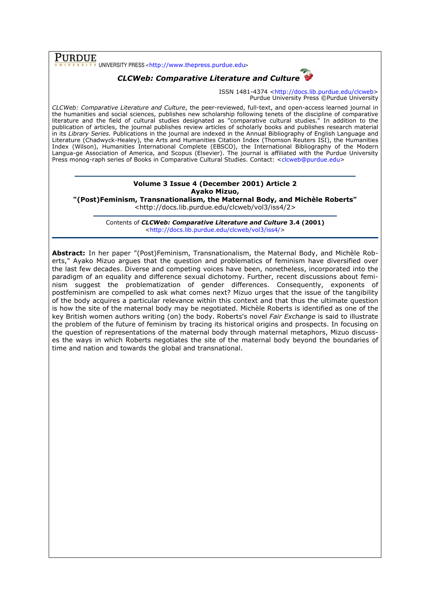$\overline{\text{PURDUE}}$  UNIVERSITY PRESS <http://www.thepress.purdue.edu>

## CLCWeb: Comparative Literature and Culture

ISSN 1481-4374 <http://docs.lib.purdue.edu/clcweb> Purdue University Press ©Purdue University

CLCWeb: Comparative Literature and Culture, the peer-reviewed, full-text, and open-access learned journal in the humanities and social sciences, publishes new scholarship following tenets of the discipline of comparative literature and the field of cultural studies designated as "comparative cultural studies." In addition to the publication of articles, the journal publishes review articles of scholarly books and publishes research material in its Library Series. Publications in the journal are indexed in the Annual Bibliography of English Language and Literature (Chadwyck-Healey), the Arts and Humanities Citation Index (Thomson Reuters ISI), the Humanities Index (Wilson), Humanities International Complete (EBSCO), the International Bibliography of the Modern Langua-ge Association of America, and Scopus (Elsevier). The journal is affiliated with the Purdue University Press monog-raph series of Books in Comparative Cultural Studies. Contact: <clcweb@purdue.edu>

## Volume 3 Issue 4 (December 2001) Article 2 Ayako Mizuo,

"(Post)Feminism, Transnationalism, the Maternal Body, and Michèle Roberts" <http://docs.lib.purdue.edu/clcweb/vol3/iss4/2>

> Contents of CLCWeb: Comparative Literature and Culture 3.4 (2001) <http://docs.lib.purdue.edu/clcweb/vol3/iss4/>

Abstract: In her paper "(Post)Feminism, Transnationalism, the Maternal Body, and Michèle Roberts," Ayako Mizuo argues that the question and problematics of feminism have diversified over the last few decades. Diverse and competing voices have been, nonetheless, incorporated into the paradigm of an equality and difference sexual dichotomy. Further, recent discussions about feminism suggest the problematization of gender differences. Consequently, exponents of postfeminism are compelled to ask what comes next? Mizuo urges that the issue of the tangibility of the body acquires a particular relevance within this context and that thus the ultimate question is how the site of the maternal body may be negotiated. Michèle Roberts is identified as one of the key British women authors writing (on) the body. Roberts's novel Fair Exchange is said to illustrate the problem of the future of feminism by tracing its historical origins and prospects. In focusing on the question of representations of the maternal body through maternal metaphors, Mizuo discusses the ways in which Roberts negotiates the site of the maternal body beyond the boundaries of time and nation and towards the global and transnational.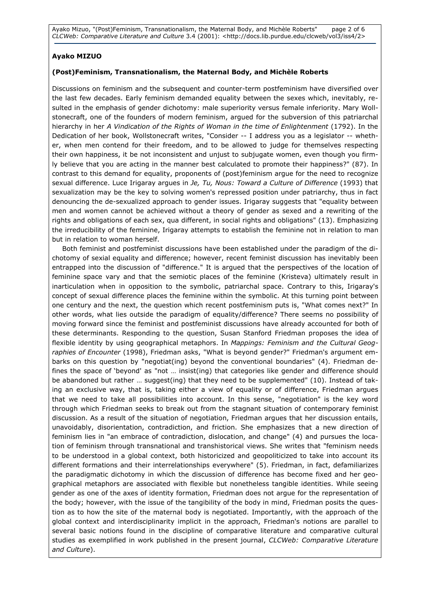Ayako Mizuo, "(Post)Feminism, Transnationalism, the Maternal Body, and Michèle Roberts" page 2 of 6 CLCWeb: Comparative Literature and Culture 3.4 (2001): <http://docs.lib.purdue.edu/clcweb/vol3/iss4/2>

## Ayako MIZUO

## (Post)Feminism, Transnationalism, the Maternal Body, and Michèle Roberts

Discussions on feminism and the subsequent and counter-term postfeminism have diversified over the last few decades. Early feminism demanded equality between the sexes which, inevitably, resulted in the emphasis of gender dichotomy: male superiority versus female inferiority. Mary Wollstonecraft, one of the founders of modern feminism, argued for the subversion of this patriarchal hierarchy in her A Vindication of the Rights of Woman in the time of Enlightenment (1792). In the Dedication of her book, Wollstonecraft writes, "Consider -- I address you as a legislator -- whether, when men contend for their freedom, and to be allowed to judge for themselves respecting their own happiness, it be not inconsistent and unjust to subjugate women, even though you firmly believe that you are acting in the manner best calculated to promote their happiness?" (87). In contrast to this demand for equality, proponents of (post)feminism argue for the need to recognize sexual difference. Luce Irigaray argues in Je, Tu, Nous: Toward a Culture of Difference (1993) that sexualization may be the key to solving women's repressed position under patriarchy, thus in fact denouncing the de-sexualized approach to gender issues. Irigaray suggests that "equality between men and women cannot be achieved without a theory of gender as sexed and a rewriting of the rights and obligations of each sex, qua different, in social rights and obligations" (13). Emphasizing the irreducibility of the feminine, Irigaray attempts to establish the feminine not in relation to man but in relation to woman herself.

Both feminist and postfeminist discussions have been established under the paradigm of the dichotomy of sexial equality and difference; however, recent feminist discussion has inevitably been entrapped into the discussion of "difference." It is argued that the perspectives of the location of feminine space vary and that the semiotic places of the feminine (Kristeva) ultimately result in inarticulation when in opposition to the symbolic, patriarchal space. Contrary to this, Irigaray's concept of sexual difference places the feminine within the symbolic. At this turning point between one century and the next, the question which recent postfeminism puts is, "What comes next?" In other words, what lies outside the paradigm of equality/difference? There seems no possibility of moving forward since the feminist and postfeminist discussions have already accounted for both of these determinants. Responding to the question, Susan Stanford Friedman proposes the idea of flexible identity by using geographical metaphors. In Mappings: Feminism and the Cultural Geographies of Encounter (1998), Friedman asks, "What is beyond gender?" Friedman's argument embarks on this question by "negotiat(ing) beyond the conventional boundaries" (4). Friedman defines the space of 'beyond' as "not … insist(ing) that categories like gender and difference should be abandoned but rather … suggest(ing) that they need to be supplemented" (10). Instead of taking an exclusive way, that is, taking either a view of equality or of difference, Friedman argues that we need to take all possibilities into account. In this sense, "negotiation" is the key word through which Friedman seeks to break out from the stagnant situation of contemporary feminist discussion. As a result of the situation of negotiation, Friedman argues that her discussion entails, unavoidably, disorientation, contradiction, and friction. She emphasizes that a new direction of feminism lies in "an embrace of contradiction, dislocation, and change" (4) and pursues the location of feminism through transnational and transhistorical views. She writes that "feminism needs to be understood in a global context, both historicized and geopoliticized to take into account its different formations and their interrelationships everywhere" (5). Friedman, in fact, defamiliarizes the paradigmatic dichotomy in which the discussion of difference has become fixed and her geographical metaphors are associated with flexible but nonetheless tangible identities. While seeing gender as one of the axes of identity formation, Friedman does not argue for the representation of the body; however, with the issue of the tangibility of the body in mind, Friedman posits the question as to how the site of the maternal body is negotiated. Importantly, with the approach of the global context and interdisciplinarity implicit in the approach, Friedman's notions are parallel to several basic notions found in the discipline of comparative literature and comparative cultural studies as exemplified in work published in the present journal, CLCWeb: Comparative Literature and Culture).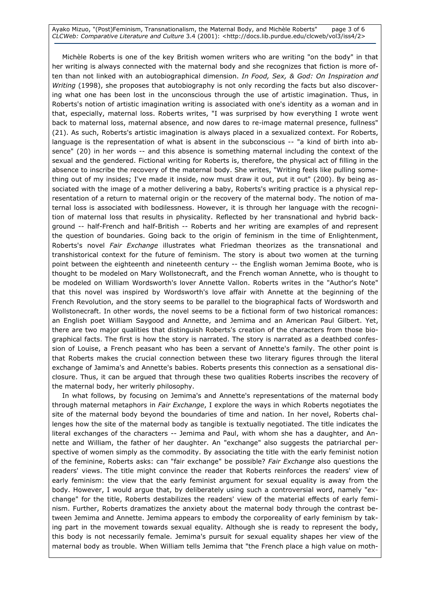Ayako Mizuo, "(Post)Feminism, Transnationalism, the Maternal Body, and Michèle Roberts" page 3 of 6 CLCWeb: Comparative Literature and Culture 3.4 (2001): <http://docs.lib.purdue.edu/clcweb/vol3/iss4/2>

Michèle Roberts is one of the key British women writers who are writing "on the body" in that her writing is always connected with the maternal body and she recognizes that fiction is more often than not linked with an autobiographical dimension. In Food, Sex, & God: On Inspiration and Writing (1998), she proposes that autobiography is not only recording the facts but also discovering what one has been lost in the unconscious through the use of artistic imagination. Thus, in Roberts's notion of artistic imagination writing is associated with one's identity as a woman and in that, especially, maternal loss. Roberts writes, "I was surprised by how everything I wrote went back to maternal loss, maternal absence, and now dares to re-image maternal presence, fullness" (21). As such, Roberts's artistic imagination is always placed in a sexualized context. For Roberts, language is the representation of what is absent in the subconscious -- "a kind of birth into absence" (20) in her words -- and this absence is something maternal including the context of the sexual and the gendered. Fictional writing for Roberts is, therefore, the physical act of filling in the absence to inscribe the recovery of the maternal body. She writes, "Writing feels like pulling something out of my insides; I've made it inside, now must draw it out, put it out" (200). By being associated with the image of a mother delivering a baby, Roberts's writing practice is a physical representation of a return to maternal origin or the recovery of the maternal body. The notion of maternal loss is associated with bodilessness. However, it is through her language with the recognition of maternal loss that results in physicality. Reflected by her transnational and hybrid background -- half-French and half-British -- Roberts and her writing are examples of and represent the question of boundaries. Going back to the origin of feminism in the time of Enlightenment, Roberts's novel Fair Exchange illustrates what Friedman theorizes as the transnational and transhistorical context for the future of feminism. The story is about two women at the turning point between the eighteenth and nineteenth century -- the English woman Jemima Boote, who is thought to be modeled on Mary Wollstonecraft, and the French woman Annette, who is thought to be modeled on William Wordsworth's lover Annette Vallon. Roberts writes in the "Author's Note" that this novel was inspired by Wordsworth's love affair with Annette at the beginning of the French Revolution, and the story seems to be parallel to the biographical facts of Wordsworth and Wollstonecraft. In other words, the novel seems to be a fictional form of two historical romances: an English poet William Saygood and Annette, and Jemima and an American Paul Gilbert. Yet, there are two major qualities that distinguish Roberts's creation of the characters from those biographical facts. The first is how the story is narrated. The story is narrated as a deathbed confession of Louise, a French peasant who has been a servant of Annette's family. The other point is that Roberts makes the crucial connection between these two literary figures through the literal exchange of Jamima's and Annette's babies. Roberts presents this connection as a sensational disclosure. Thus, it can be argued that through these two qualities Roberts inscribes the recovery of the maternal body, her writerly philosophy.

In what follows, by focusing on Jemima's and Annette's representations of the maternal body through maternal metaphors in Fair Exchange, I explore the ways in which Roberts negotiates the site of the maternal body beyond the boundaries of time and nation. In her novel, Roberts challenges how the site of the maternal body as tangible is textually negotiated. The title indicates the literal exchanges of the characters -- Jemima and Paul, with whom she has a daughter, and Annette and William, the father of her daughter. An "exchange" also suggests the patriarchal perspective of women simply as the commodity. By associating the title with the early feminist notion of the feminine, Roberts asks: can "fair exchange" be possible? Fair Exchange also questions the readers' views. The title might convince the reader that Roberts reinforces the readers' view of early feminism: the view that the early feminist argument for sexual equality is away from the body. However, I would argue that, by deliberately using such a controversial word, namely "exchange" for the title, Roberts destabilizes the readers' view of the material effects of early feminism. Further, Roberts dramatizes the anxiety about the maternal body through the contrast between Jemima and Annette. Jemima appears to embody the corporeality of early feminism by taking part in the movement towards sexual equality. Although she is ready to represent the body, this body is not necessarily female. Jemima's pursuit for sexual equality shapes her view of the maternal body as trouble. When William tells Jemima that "the French place a high value on moth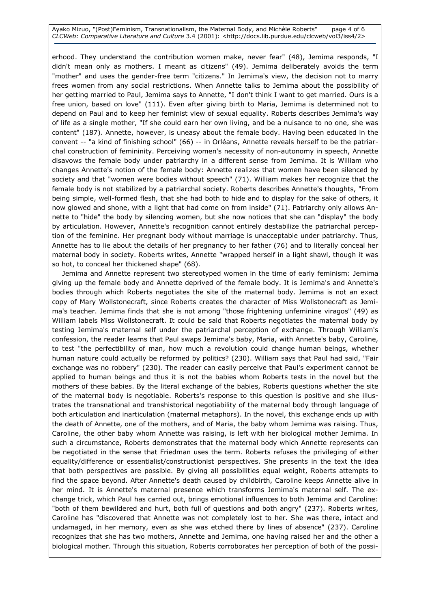Ayako Mizuo, "(Post)Feminism, Transnationalism, the Maternal Body, and Michèle Roberts" page 4 of 6 CLCWeb: Comparative Literature and Culture 3.4 (2001): <http://docs.lib.purdue.edu/clcweb/vol3/iss4/2>

erhood. They understand the contribution women make, never fear" (48), Jemima responds, "I didn't mean only as mothers. I meant as citizens" (49). Jemima deliberately avoids the term "mother" and uses the gender-free term "citizens." In Jemima's view, the decision not to marry frees women from any social restrictions. When Annette talks to Jemima about the possibility of her getting married to Paul, Jemima says to Annette, "I don't think I want to get married. Ours is a free union, based on love" (111). Even after giving birth to Maria, Jemima is determined not to depend on Paul and to keep her feminist view of sexual equality. Roberts describes Jemima's way of life as a single mother, "If she could earn her own living, and be a nuisance to no one, she was content" (187). Annette, however, is uneasy about the female body. Having been educated in the convent -- "a kind of finishing school" (66) -- in Orléans, Annette reveals herself to be the patriarchal construction of femininity. Perceiving women's necessity of non-autonomy in speech, Annette disavows the female body under patriarchy in a different sense from Jemima. It is William who changes Annette's notion of the female body: Annette realizes that women have been silenced by society and that "women were bodies without speech" (71). William makes her recognize that the female body is not stabilized by a patriarchal society. Roberts describes Annette's thoughts, "From being simple, well-formed flesh, that she had both to hide and to display for the sake of others, it now glowed and shone, with a light that had come on from inside" (71). Patriarchy only allows Annette to "hide" the body by silencing women, but she now notices that she can "display" the body by articulation. However, Annette's recognition cannot entirely destabilize the patriarchal perception of the feminine. Her pregnant body without marriage is unacceptable under patriarchy. Thus, Annette has to lie about the details of her pregnancy to her father (76) and to literally conceal her maternal body in society. Roberts writes, Annette "wrapped herself in a light shawl, though it was so hot, to conceal her thickened shape" (68).

Jemima and Annette represent two stereotyped women in the time of early feminism: Jemima giving up the female body and Annette deprived of the female body. It is Jemima's and Annette's bodies through which Roberts negotiates the site of the maternal body. Jemima is not an exact copy of Mary Wollstonecraft, since Roberts creates the character of Miss Wollstonecraft as Jemima's teacher. Jemima finds that she is not among "those frightening unfeminine viragos" (49) as William labels Miss Wollstonecraft. It could be said that Roberts negotiates the maternal body by testing Jemima's maternal self under the patriarchal perception of exchange. Through William's confession, the reader learns that Paul swaps Jemima's baby, Maria, with Annette's baby, Caroline, to test "the perfectibility of man, how much a revolution could change human beings, whether human nature could actually be reformed by politics? (230). William says that Paul had said, "Fair exchange was no robbery" (230). The reader can easily perceive that Paul's experiment cannot be applied to human beings and thus it is not the babies whom Roberts tests in the novel but the mothers of these babies. By the literal exchange of the babies, Roberts questions whether the site of the maternal body is negotiable. Roberts's response to this question is positive and she illustrates the transnational and transhistorical negotiability of the maternal body through language of both articulation and inarticulation (maternal metaphors). In the novel, this exchange ends up with the death of Annette, one of the mothers, and of Maria, the baby whom Jemima was raising. Thus, Caroline, the other baby whom Annette was raising, is left with her biological mother Jemima. In such a circumstance, Roberts demonstrates that the maternal body which Annette represents can be negotiated in the sense that Friedman uses the term. Roberts refuses the privileging of either equality/difference or essentialist/constructionist perspectives. She presents in the text the idea that both perspectives are possible. By giving all possibilities equal weight, Roberts attempts to find the space beyond. After Annette's death caused by childbirth, Caroline keeps Annette alive in her mind. It is Annette's maternal presence which transforms Jemima's maternal self. The exchange trick, which Paul has carried out, brings emotional influences to both Jemima and Caroline: "both of them bewildered and hurt, both full of questions and both angry" (237). Roberts writes, Caroline has "discovered that Annette was not completely lost to her. She was there, intact and undamaged, in her memory, even as she was etched there by lines of absence" (237). Caroline recognizes that she has two mothers, Annette and Jemima, one having raised her and the other a biological mother. Through this situation, Roberts corroborates her perception of both of the possi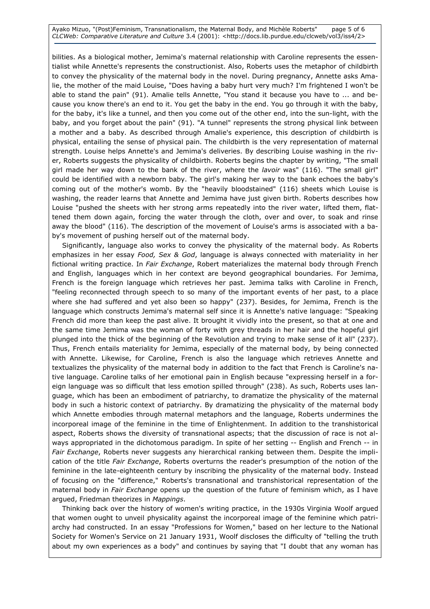Ayako Mizuo, "(Post)Feminism, Transnationalism, the Maternal Body, and Michèle Roberts" page 5 of 6 CLCWeb: Comparative Literature and Culture 3.4 (2001): <http://docs.lib.purdue.edu/clcweb/vol3/iss4/2>

bilities. As a biological mother, Jemima's maternal relationship with Caroline represents the essentialist while Annette's represents the constructionist. Also, Roberts uses the metaphor of childbirth to convey the physicality of the maternal body in the novel. During pregnancy, Annette asks Amalie, the mother of the maid Louise, "Does having a baby hurt very much? I'm frightened I won't be able to stand the pain" (91). Amalie tells Annette, "You stand it because you have to ... and because you know there's an end to it. You get the baby in the end. You go through it with the baby, for the baby, it's like a tunnel, and then you come out of the other end, into the sun-light, with the baby, and you forget about the pain" (91). "A tunnel" represents the strong physical link between a mother and a baby. As described through Amalie's experience, this description of childbirth is physical, entailing the sense of physical pain. The childbirth is the very representation of maternal strength. Louise helps Annette's and Jemima's deliveries. By describing Louise washing in the river, Roberts suggests the physicality of childbirth. Roberts begins the chapter by writing, "The small girl made her way down to the bank of the river, where the lavoir was" (116). "The small girl" could be identified with a newborn baby. The girl's making her way to the bank echoes the baby's coming out of the mother's womb. By the "heavily bloodstained" (116) sheets which Louise is washing, the reader learns that Annette and Jemima have just given birth. Roberts describes how Louise "pushed the sheets with her strong arms repeatedly into the river water, lifted them, flattened them down again, forcing the water through the cloth, over and over, to soak and rinse away the blood" (116). The description of the movement of Louise's arms is associated with a baby's movement of pushing herself out of the maternal body.

Significantly, language also works to convey the physicality of the maternal body. As Roberts emphasizes in her essay Food, Sex & God, language is always connected with materiality in her fictional writing practice. In Fair Exchange, Robert materializes the maternal body through French and English, languages which in her context are beyond geographical boundaries. For Jemima, French is the foreign language which retrieves her past. Jemima talks with Caroline in French, "feeling reconnected through speech to so many of the important events of her past, to a place where she had suffered and yet also been so happy" (237). Besides, for Jemima, French is the language which constructs Jemima's maternal self since it is Annette's native language: "Speaking French did more than keep the past alive. It brought it vividly into the present, so that at one and the same time Jemima was the woman of forty with grey threads in her hair and the hopeful girl plunged into the thick of the beginning of the Revolution and trying to make sense of it all" (237). Thus, French entails materiality for Jemima, especially of the maternal body, by being connected with Annette. Likewise, for Caroline, French is also the language which retrieves Annette and textualizes the physicality of the maternal body in addition to the fact that French is Caroline's native language. Caroline talks of her emotional pain in English because "expressing herself in a foreign language was so difficult that less emotion spilled through" (238). As such, Roberts uses language, which has been an embodiment of patriarchy, to dramatize the physicality of the maternal body in such a historic context of patriarchy. By dramatizing the physicality of the maternal body which Annette embodies through maternal metaphors and the language, Roberts undermines the incorporeal image of the feminine in the time of Enlightenment. In addition to the transhistorical aspect, Roberts shows the diversity of transnational aspects; that the discussion of race is not always appropriated in the dichotomous paradigm. In spite of her setting -- English and French -- in Fair Exchange, Roberts never suggests any hierarchical ranking between them. Despite the implication of the title Fair Exchange, Roberts overturns the reader's presumption of the notion of the feminine in the late-eighteenth century by inscribing the physicality of the maternal body. Instead of focusing on the "difference," Roberts's transnational and transhistorical representation of the maternal body in Fair Exchange opens up the question of the future of feminism which, as I have argued, Friedman theorizes in Mappings.

Thinking back over the history of women's writing practice, in the 1930s Virginia Woolf argued that women ought to unveil physicality against the incorporeal image of the feminine which patriarchy had constructed. In an essay "Professions for Women," based on her lecture to the National Society for Women's Service on 21 January 1931, Woolf discloses the difficulty of "telling the truth about my own experiences as a body" and continues by saying that "I doubt that any woman has